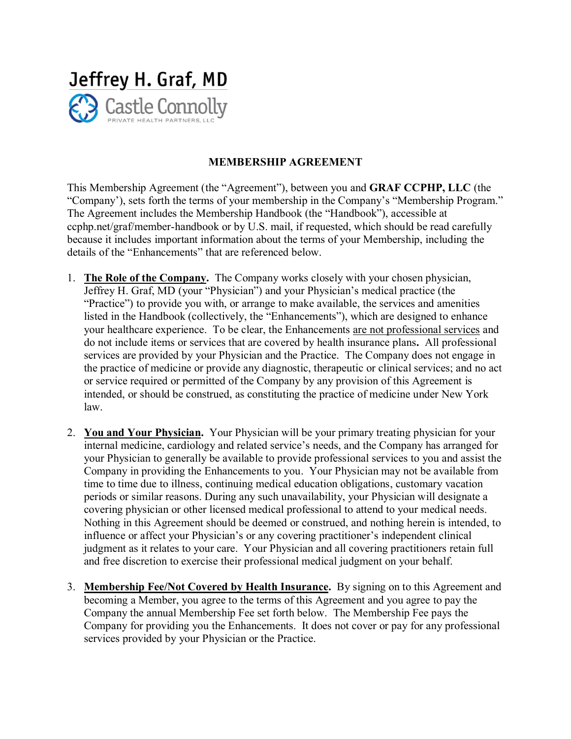

## **MEMBERSHIP AGREEMENT**

This Membership Agreement (the "Agreement"), between you and **GRAF CCPHP, LLC** (the "Company'), sets forth the terms of your membership in the Company's "Membership Program." The Agreement includes the Membership Handbook (the "Handbook"), accessible at ccphp.net/graf/member-handbook or by U.S. mail, if requested, which should be read carefully because it includes important information about the terms of your Membership, including the details of the "Enhancements" that are referenced below.

- 1. **The Role of the Company.** The Company works closely with your chosen physician, Jeffrey H. Graf, MD (your "Physician") and your Physician's medical practice (the "Practice") to provide you with, or arrange to make available, the services and amenities listed in the Handbook (collectively, the "Enhancements"), which are designed to enhance your healthcare experience. To be clear, the Enhancements are not professional services and do not include items or services that are covered by health insurance plans**.** All professional services are provided by your Physician and the Practice. The Company does not engage in the practice of medicine or provide any diagnostic, therapeutic or clinical services; and no act or service required or permitted of the Company by any provision of this Agreement is intended, or should be construed, as constituting the practice of medicine under New York law.
- 2. **You and Your Physician.** Your Physician will be your primary treating physician for your internal medicine, cardiology and related service's needs, and the Company has arranged for your Physician to generally be available to provide professional services to you and assist the Company in providing the Enhancements to you. Your Physician may not be available from time to time due to illness, continuing medical education obligations, customary vacation periods or similar reasons. During any such unavailability, your Physician will designate a covering physician or other licensed medical professional to attend to your medical needs. Nothing in this Agreement should be deemed or construed, and nothing herein is intended, to influence or affect your Physician's or any covering practitioner's independent clinical judgment as it relates to your care. Your Physician and all covering practitioners retain full and free discretion to exercise their professional medical judgment on your behalf.
- 3. **Membership Fee/Not Covered by Health Insurance.** By signing on to this Agreement and becoming a Member, you agree to the terms of this Agreement and you agree to pay the Company the annual Membership Fee set forth below. The Membership Fee pays the Company for providing you the Enhancements. It does not cover or pay for any professional services provided by your Physician or the Practice.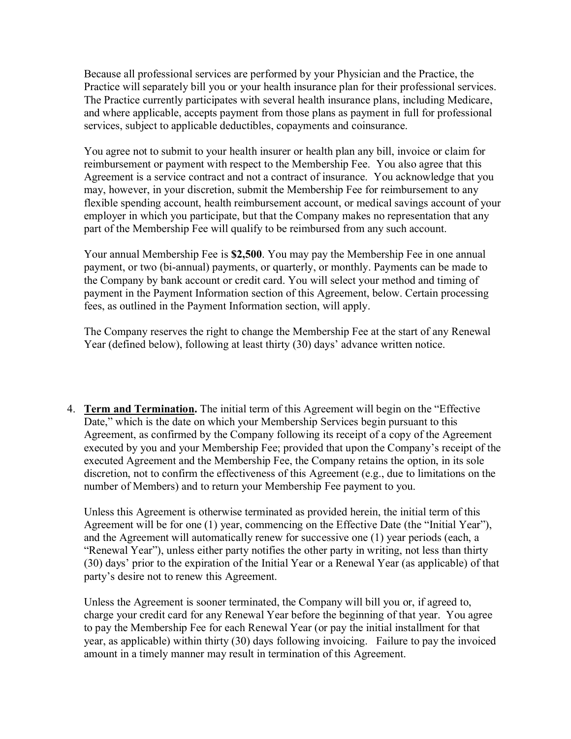Because all professional services are performed by your Physician and the Practice, the Practice will separately bill you or your health insurance plan for their professional services. The Practice currently participates with several health insurance plans, including Medicare, and where applicable, accepts payment from those plans as payment in full for professional services, subject to applicable deductibles, copayments and coinsurance.

You agree not to submit to your health insurer or health plan any bill, invoice or claim for reimbursement or payment with respect to the Membership Fee. You also agree that this Agreement is a service contract and not a contract of insurance. You acknowledge that you may, however, in your discretion, submit the Membership Fee for reimbursement to any flexible spending account, health reimbursement account, or medical savings account of your employer in which you participate, but that the Company makes no representation that any part of the Membership Fee will qualify to be reimbursed from any such account.

Your annual Membership Fee is **\$2,500**. You may pay the Membership Fee in one annual payment, or two (bi-annual) payments, or quarterly, or monthly. Payments can be made to the Company by bank account or credit card. You will select your method and timing of payment in the Payment Information section of this Agreement, below. Certain processing fees, as outlined in the Payment Information section, will apply.

The Company reserves the right to change the Membership Fee at the start of any Renewal Year (defined below), following at least thirty (30) days' advance written notice.

4. **Term and Termination.** The initial term of this Agreement will begin on the "Effective Date," which is the date on which your Membership Services begin pursuant to this Agreement, as confirmed by the Company following its receipt of a copy of the Agreement executed by you and your Membership Fee; provided that upon the Company's receipt of the executed Agreement and the Membership Fee, the Company retains the option, in its sole discretion, not to confirm the effectiveness of this Agreement (e.g., due to limitations on the number of Members) and to return your Membership Fee payment to you.

Unless this Agreement is otherwise terminated as provided herein, the initial term of this Agreement will be for one (1) year, commencing on the Effective Date (the "Initial Year"), and the Agreement will automatically renew for successive one (1) year periods (each, a "Renewal Year"), unless either party notifies the other party in writing, not less than thirty (30) days' prior to the expiration of the Initial Year or a Renewal Year (as applicable) of that party's desire not to renew this Agreement.

Unless the Agreement is sooner terminated, the Company will bill you or, if agreed to, charge your credit card for any Renewal Year before the beginning of that year. You agree to pay the Membership Fee for each Renewal Year (or pay the initial installment for that year, as applicable) within thirty (30) days following invoicing. Failure to pay the invoiced amount in a timely manner may result in termination of this Agreement.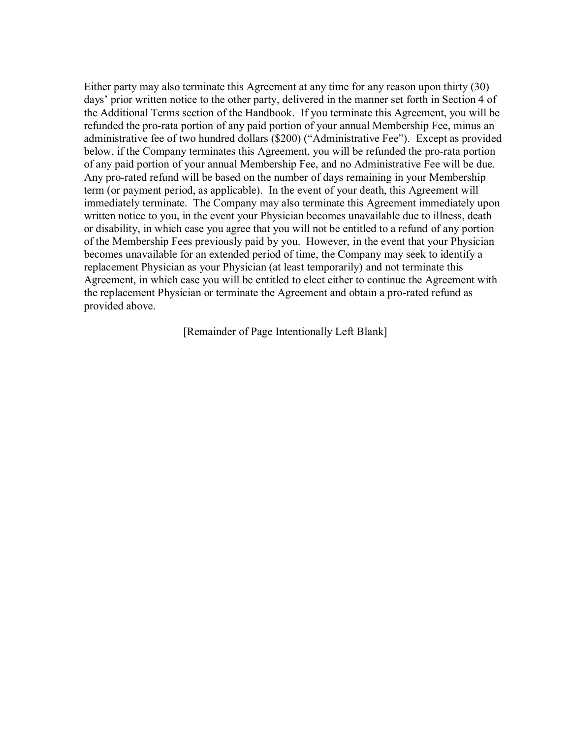Either party may also terminate this Agreement at any time for any reason upon thirty (30) days' prior written notice to the other party, delivered in the manner set forth in Section 4 of the Additional Terms section of the Handbook. If you terminate this Agreement, you will be refunded the pro-rata portion of any paid portion of your annual Membership Fee, minus an administrative fee of two hundred dollars (\$200) ("Administrative Fee"). Except as provided below, if the Company terminates this Agreement, you will be refunded the pro-rata portion of any paid portion of your annual Membership Fee, and no Administrative Fee will be due. Any pro-rated refund will be based on the number of days remaining in your Membership term (or payment period, as applicable). In the event of your death, this Agreement will immediately terminate. The Company may also terminate this Agreement immediately upon written notice to you, in the event your Physician becomes unavailable due to illness, death or disability, in which case you agree that you will not be entitled to a refund of any portion of the Membership Fees previously paid by you. However, in the event that your Physician becomes unavailable for an extended period of time, the Company may seek to identify a replacement Physician as your Physician (at least temporarily) and not terminate this Agreement, in which case you will be entitled to elect either to continue the Agreement with the replacement Physician or terminate the Agreement and obtain a pro-rated refund as provided above.

[Remainder of Page Intentionally Left Blank]